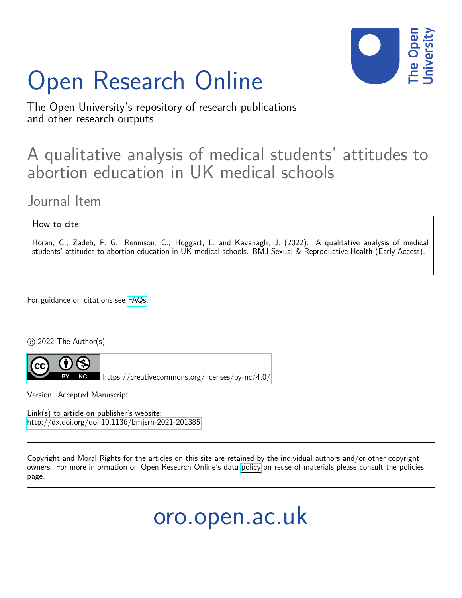# Open Research Online



The Open University's repository of research publications and other research outputs

# A qualitative analysis of medical students' attitudes to abortion education in UK medical schools

Journal Item

How to cite:

Horan, C.; Zadeh, P. G.; Rennison, C.; Hoggart, L. and Kavanagh, J. (2022). A qualitative analysis of medical students' attitudes to abortion education in UK medical schools. BMJ Sexual & Reproductive Health (Early Access).

For guidance on citations see [FAQs.](http://oro.open.ac.uk/help/helpfaq.html)

 $\circ$  2022 The Author(s)



<https://creativecommons.org/licenses/by-nc/4.0/>

Version: Accepted Manuscript

Link(s) to article on publisher's website: <http://dx.doi.org/doi:10.1136/bmjsrh-2021-201385>

Copyright and Moral Rights for the articles on this site are retained by the individual authors and/or other copyright owners. For more information on Open Research Online's data [policy](http://oro.open.ac.uk/policies.html) on reuse of materials please consult the policies page.

oro.open.ac.uk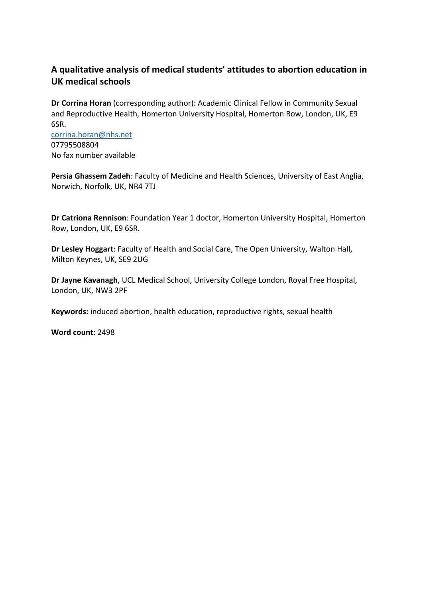#### **A qualitative analysis of medical students' attitudes to abortion education in UK medical schools**

**Dr Corrina Horan** (corresponding author): Academic Clinical Fellow in Community Sexual and Reproductive Health, Homerton University Hospital, Homerton Row, London, UK, E9 6SR. [corrina.horan@nhs.net](mailto:corrina.horan@nhs.net)

07795508804 No fax number available

**Persia Ghassem Zadeh**: Faculty of Medicine and Health Sciences, University of East Anglia, Norwich, Norfolk, UK, NR4 7TJ

**Dr Catriona Rennison**: Foundation Year 1 doctor, Homerton University Hospital, Homerton Row, London, UK, E9 6SR.

**Dr Lesley Hoggart**: Faculty of Health and Social Care, The Open University, Walton Hall, Milton Keynes, UK, SE9 2UG

**Dr Jayne Kavanagh**, UCL Medical School, University College London, Royal Free Hospital, London, UK, NW3 2PF

**Keywords:** induced abortion, health education, reproductive rights, sexual health

**Word count**: 2498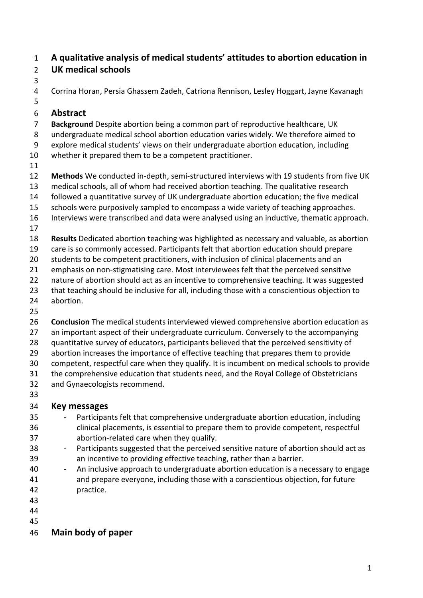#### **A qualitative analysis of medical students' attitudes to abortion education in UK medical schools**

Corrina Horan, Persia Ghassem Zadeh, Catriona Rennison, Lesley Hoggart, Jayne Kavanagh

#### **Abstract**

**Background** Despite abortion being a common part of reproductive healthcare, UK

- undergraduate medical school abortion education varies widely. We therefore aimed to
- explore medical students' views on their undergraduate abortion education, including
- whether it prepared them to be a competent practitioner.
- 

**Methods** We conducted in-depth, semi-structured interviews with 19 students from five UK

- medical schools, all of whom had received abortion teaching. The qualitative research
- followed a quantitative survey of UK undergraduate abortion education; the five medical
- schools were purposively sampled to encompass a wide variety of teaching approaches.
- Interviews were transcribed and data were analysed using an inductive, thematic approach.
- 

**Results** Dedicated abortion teaching was highlighted as necessary and valuable, as abortion

- care is so commonly accessed. Participants felt that abortion education should prepare
- 20 students to be competent practitioners, with inclusion of clinical placements and an
- emphasis on non-stigmatising care. Most interviewees felt that the perceived sensitive
- 22 nature of abortion should act as an incentive to comprehensive teaching. It was suggested
- 23 that teaching should be inclusive for all, including those with a conscientious objection to abortion.
- 
- **Conclusion** The medical students interviewed viewed comprehensive abortion education as
- an important aspect of their undergraduate curriculum. Conversely to the accompanying
- quantitative survey of educators, participants believed that the perceived sensitivity of
- abortion increases the importance of effective teaching that prepares them to provide
- competent, respectful care when they qualify. It is incumbent on medical schools to provide
- the comprehensive education that students need, and the Royal College of Obstetricians and Gynaecologists recommend.
- 

### **Key messages**

- Participants felt that comprehensive undergraduate abortion education, including clinical placements, is essential to prepare them to provide competent, respectful abortion-related care when they qualify.
- 38 Participants suggested that the perceived sensitive nature of abortion should act as an incentive to providing effective teaching, rather than a barrier.
- 40 An inclusive approach to undergraduate abortion education is a necessary to engage and prepare everyone, including those with a conscientious objection, for future practice.
- 
- 
- 

# **Main body of paper**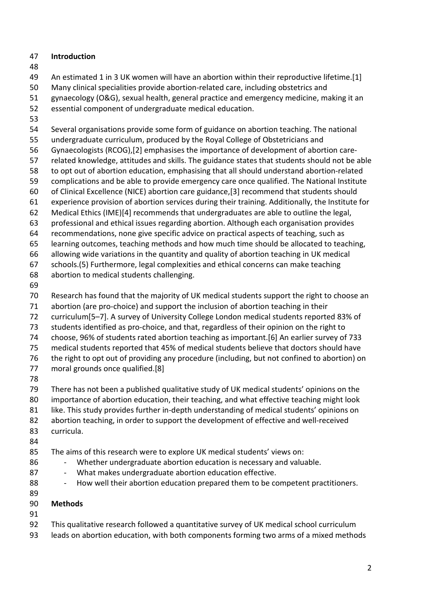#### **Introduction**

An estimated 1 in 3 UK women will have an abortion within their reproductive lifetime.[1]

Many clinical specialities provide abortion-related care, including obstetrics and

gynaecology (O&G), sexual health, general practice and emergency medicine, making it an

- essential component of undergraduate medical education.
- 

Several organisations provide some form of guidance on abortion teaching. The national

undergraduate curriculum, produced by the Royal College of Obstetricians and

Gynaecologists (RCOG),[2] emphasises the importance of development of abortion care-

related knowledge, attitudes and skills. The guidance states that students should not be able

to opt out of abortion education, emphasising that all should understand abortion-related

 complications and be able to provide emergency care once qualified. The National Institute of Clinical Excellence (NICE) abortion care guidance,[3] recommend that students should

- experience provision of abortion services during their training. Additionally, the Institute for
- Medical Ethics (IME)[4] recommends that undergraduates are able to outline the legal,
- professional and ethical issues regarding abortion. Although each organisation provides

recommendations, none give specific advice on practical aspects of teaching, such as

learning outcomes, teaching methods and how much time should be allocated to teaching,

allowing wide variations in the quantity and quality of abortion teaching in UK medical

schools.(5) Furthermore, legal complexities and ethical concerns can make teaching

- abortion to medical students challenging.
- 

Research has found that the majority of UK medical students support the right to choose an

abortion (are pro-choice) and support the inclusion of abortion teaching in their

curriculum[5–7]. A survey of University College London medical students reported 83% of

students identified as pro-choice, and that, regardless of their opinion on the right to

choose, 96% of students rated abortion teaching as important.[6] An earlier survey of 733

medical students reported that 45% of medical students believe that doctors should have

 the right to opt out of providing any procedure (including, but not confined to abortion) on moral grounds once qualified.[8]

 There has not been a published qualitative study of UK medical students' opinions on the importance of abortion education, their teaching, and what effective teaching might look like. This study provides further in-depth understanding of medical students' opinions on abortion teaching, in order to support the development of effective and well-received curricula.

#### The aims of this research were to explore UK medical students' views on:

- 86 Whether undergraduate abortion education is necessary and valuable.
- 87 What makes undergraduate abortion education effective.
- 88 How well their abortion education prepared them to be competent practitioners.
- 

#### **Methods**

- 
- This qualitative research followed a quantitative survey of UK medical school curriculum
- leads on abortion education, with both components forming two arms of a mixed methods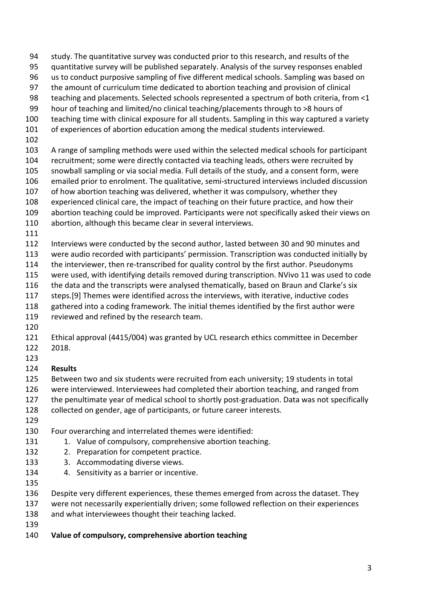- study. The quantitative survey was conducted prior to this research, and results of the
- quantitative survey will be published separately. Analysis of the survey responses enabled
- us to conduct purposive sampling of five different medical schools. Sampling was based on
- the amount of curriculum time dedicated to abortion teaching and provision of clinical teaching and placements. Selected schools represented a spectrum of both criteria, from <1
- hour of teaching and limited/no clinical teaching/placements through to >8 hours of
- teaching time with clinical exposure for all students. Sampling in this way captured a variety
- of experiences of abortion education among the medical students interviewed.
- 
- A range of sampling methods were used within the selected medical schools for participant
- recruitment; some were directly contacted via teaching leads, others were recruited by
- snowball sampling or via social media. Full details of the study, and a consent form, were
- emailed prior to enrolment. The qualitative, semi-structured interviews included discussion
- of how abortion teaching was delivered, whether it was compulsory, whether they
- experienced clinical care, the impact of teaching on their future practice, and how their
- abortion teaching could be improved. Participants were not specifically asked their views on
- abortion, although this became clear in several interviews.
- 
- Interviews were conducted by the second author, lasted between 30 and 90 minutes and
- were audio recorded with participants' permission. Transcription was conducted initially by
- the interviewer, then re-transcribed for quality control by the first author. Pseudonyms
- were used, with identifying details removed during transcription. NVivo 11 was used to code
- 116 the data and the transcripts were analysed thematically, based on Braun and Clarke's six
- steps.[9] Themes were identified across the interviews, with iterative, inductive codes
- gathered into a coding framework. The initial themes identified by the first author were
- reviewed and refined by the research team.
- 
- Ethical approval (4415/004) was granted by UCL research ethics committee in December 2018.
- 

#### **Results**

- Between two and six students were recruited from each university; 19 students in total
- were interviewed. Interviewees had completed their abortion teaching, and ranged from
- the penultimate year of medical school to shortly post-graduation. Data was not specifically
- collected on gender, age of participants, or future career interests.
- 
- Four overarching and interrelated themes were identified:
- 131 1. Value of compulsory, comprehensive abortion teaching.
- 132 2. Preparation for competent practice.
- 133 3. Accommodating diverse views.
- 4. Sensitivity as a barrier or incentive.
- 
- Despite very different experiences, these themes emerged from across the dataset. They
- were not necessarily experientially driven; some followed reflection on their experiences
- and what interviewees thought their teaching lacked.
- 
- **Value of compulsory, comprehensive abortion teaching**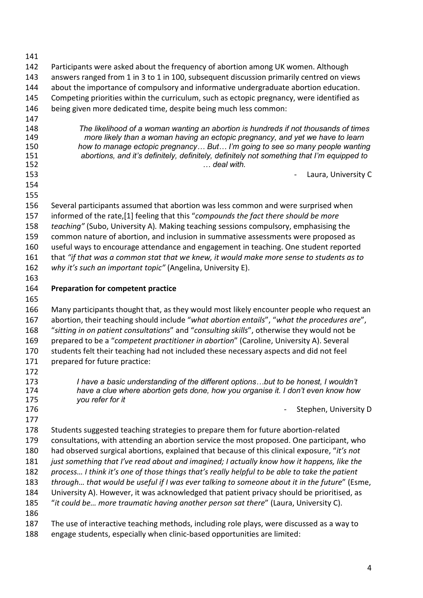| 141 |                                                                                               |
|-----|-----------------------------------------------------------------------------------------------|
| 142 | Participants were asked about the frequency of abortion among UK women. Although              |
| 143 | answers ranged from 1 in 3 to 1 in 100, subsequent discussion primarily centred on views      |
| 144 | about the importance of compulsory and informative undergraduate abortion education.          |
| 145 | Competing priorities within the curriculum, such as ectopic pregnancy, were identified as     |
| 146 | being given more dedicated time, despite being much less common:                              |
| 147 |                                                                                               |
| 148 | The likelihood of a woman wanting an abortion is hundreds if not thousands of times           |
| 149 | more likely than a woman having an ectopic pregnancy, and yet we have to learn                |
| 150 | how to manage ectopic pregnancy But I'm going to see so many people wanting                   |
| 151 | abortions, and it's definitely, definitely, definitely not something that I'm equipped to     |
| 152 | deal with.                                                                                    |
| 153 | Laura, University C                                                                           |
| 154 |                                                                                               |
| 155 |                                                                                               |
| 156 | Several participants assumed that abortion was less common and were surprised when            |
| 157 | informed of the rate,[1] feeling that this "compounds the fact there should be more           |
| 158 | teaching" (Subo, University A). Making teaching sessions compulsory, emphasising the          |
| 159 | common nature of abortion, and inclusion in summative assessments were proposed as            |
| 160 | useful ways to encourage attendance and engagement in teaching. One student reported          |
| 161 | that "if that was a common stat that we knew, it would make more sense to students as to      |
| 162 | why it's such an important topic" (Angelina, University E).                                   |
| 163 |                                                                                               |
| 164 | <b>Preparation for competent practice</b>                                                     |
| 165 |                                                                                               |
| 166 | Many participants thought that, as they would most likely encounter people who request an     |
| 167 | abortion, their teaching should include "what abortion entails", "what the procedures are",   |
| 168 | "sitting in on patient consultations" and "consulting skills", otherwise they would not be    |
| 169 | prepared to be a "competent practitioner in abortion" (Caroline, University A). Several       |
| 170 | students felt their teaching had not included these necessary aspects and did not feel        |
| 171 | prepared for future practice:                                                                 |
| 172 |                                                                                               |
| 173 | I have a basic understanding of the different optionsbut to be honest, I wouldn't             |
| 174 | have a clue where abortion gets done, how you organise it. I don't even know how              |
| 175 | you refer for it                                                                              |
| 176 | Stephen, University D                                                                         |
| 177 |                                                                                               |
| 178 | Students suggested teaching strategies to prepare them for future abortion-related            |
| 179 | consultations, with attending an abortion service the most proposed. One participant, who     |
| 180 | had observed surgical abortions, explained that because of this clinical exposure, "it's not  |
| 181 | just something that I've read about and imagined; I actually know how it happens, like the    |
| 182 | process I think it's one of those things that's really helpful to be able to take the patient |
| 183 | through that would be useful if I was ever talking to someone about it in the future" (Esme,  |
| 184 | University A). However, it was acknowledged that patient privacy should be prioritised, as    |
| 185 | "it could be more traumatic having another person sat there" (Laura, University C).           |
| 186 |                                                                                               |
| 187 | The use of interactive teaching methods, including role plays, were discussed as a way to     |
| 188 | engage students, especially when clinic-based opportunities are limited:                      |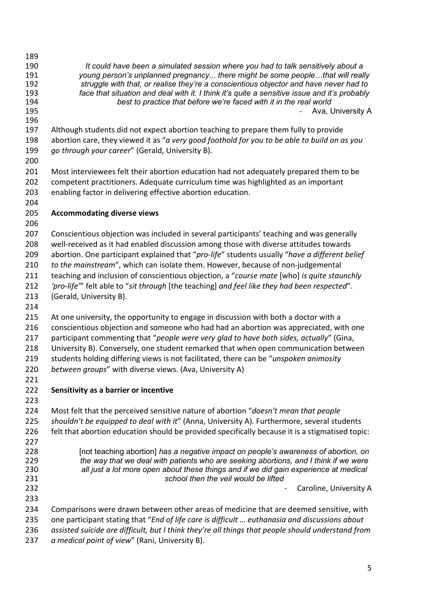*It could have been a simulated session where you had to talk sensitively about a young person's unplanned pregnancy... there might be some people…that will really struggle with that, or realise they're a conscientious objector and have never had to face that situation and deal with it. I think it's quite a sensitive issue and it's probably best to practice that before we're faced with it in the real world* 195 - Ava, University A

- Although students did not expect abortion teaching to prepare them fully to provide abortion care, they viewed it as "*a very good foothold for you to be able to build on as you go through your career*" (Gerald, University B).
- 

 Most interviewees felt their abortion education had not adequately prepared them to be competent practitioners. Adequate curriculum time was highlighted as an important enabling factor in delivering effective abortion education.

#### **Accommodating diverse views**

 Conscientious objection was included in several participants' teaching and was generally well-received as it had enabled discussion among those with diverse attitudes towards abortion. One participant explained that "*pro-life*" students usually "*have a different belief to the mainstream*", which can isolate them. However, because of non-judgemental teaching and inclusion of conscientious objection, a "*course mate* [who] *is quite staunchly 'pro-life'*" felt able to "*sit through* [the teaching] *and feel like they had been respected*".

- (Gerald, University B).
- 

215 At one university, the opportunity to engage in discussion with both a doctor with a conscientious objection and someone who had had an abortion was appreciated, with one participant commenting that "*people were very glad to have both sides, actually*" (Gina, University B). Conversely, one student remarked that when open communication between students holding differing views is not facilitated, there can be "*unspoken animosity between groups*" with diverse views. (Ava, University A)

- 
- **Sensitivity as a barrier or incentive**
- 

 Most felt that the perceived sensitive nature of abortion "*doesn't mean that people shouldn't be equipped to deal with it*" (Anna, University A). Furthermore, several students felt that abortion education should be provided specifically because it is a stigmatised topic:

- 
- [not teaching abortion] *has a negative impact on people's awareness of abortion, on*
- *the way that we deal with patients who are seeking abortions, and I think if we were all just a lot more open about these things and if we did gain experience at medical*
- *school then the veil would be lifted*

**232** - Caroline, University A

Comparisons were drawn between other areas of medicine that are deemed sensitive, with

- one participant stating that "*End of life care is difficult … euthanasia and discussions about*
- *assisted suicide are difficult, but I think they're all things that people should understand from*
- *a medical point of view*" (Rani, University B).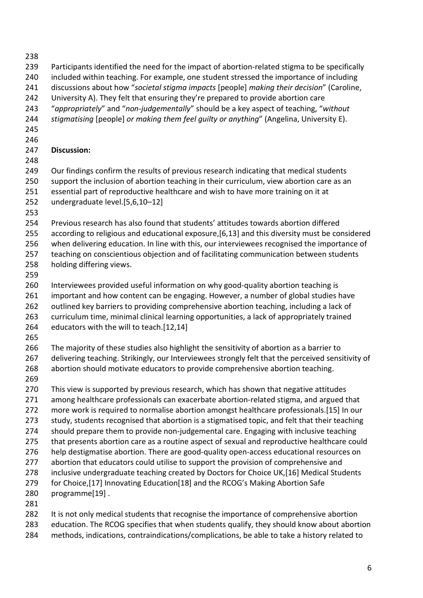- 
- Participants identified the need for the impact of abortion-related stigma to be specifically
- included within teaching. For example, one student stressed the importance of including
- discussions about how "*societal stigma impacts* [people] *making their decision*" (Caroline,
- University A). They felt that ensuring they're prepared to provide abortion care
- "*appropriately*" and "*non-judgementally*" should be a key aspect of teaching, "*without*
- *stigmatising* [people] *or making them feel guilty or anything*" (Angelina, University E).
- 
- 

#### **Discussion:**

249 Our findings confirm the results of previous research indicating that medical students support the inclusion of abortion teaching in their curriculum, view abortion care as an essential part of reproductive healthcare and wish to have more training on it at

- undergraduate level.[5,6,10–12]
- 

Previous research has also found that students' attitudes towards abortion differed

according to religious and educational exposure,[6,13] and this diversity must be considered

when delivering education. In line with this, our interviewees recognised the importance of

 teaching on conscientious objection and of facilitating communication between students holding differing views.

Interviewees provided useful information on why good-quality abortion teaching is

important and how content can be engaging. However, a number of global studies have

262 outlined key barriers to providing comprehensive abortion teaching, including a lack of

- curriculum time, minimal clinical learning opportunities, a lack of appropriately trained
- educators with the will to teach.[12,14]
- 

 The majority of these studies also highlight the sensitivity of abortion as a barrier to 267 delivering teaching. Strikingly, our Interviewees strongly felt that the perceived sensitivity of

- abortion should motivate educators to provide comprehensive abortion teaching.
- 

 This view is supported by previous research, which has shown that negative attitudes among healthcare professionals can exacerbate abortion-related stigma, and argued that more work is required to normalise abortion amongst healthcare professionals.[15] In our 273 study, students recognised that abortion is a stigmatised topic, and felt that their teaching should prepare them to provide non-judgemental care. Engaging with inclusive teaching that presents abortion care as a routine aspect of sexual and reproductive healthcare could help destigmatise abortion. There are good-quality open-access educational resources on 277 abortion that educators could utilise to support the provision of comprehensive and

inclusive undergraduate teaching created by Doctors for Choice UK,[16] Medical Students

- for Choice,[17] Innovating Education[18] and the RCOG's Making Abortion Safe
- programme[19] .
- 

It is not only medical students that recognise the importance of comprehensive abortion

education. The RCOG specifies that when students qualify, they should know about abortion

methods, indications, contraindications/complications, be able to take a history related to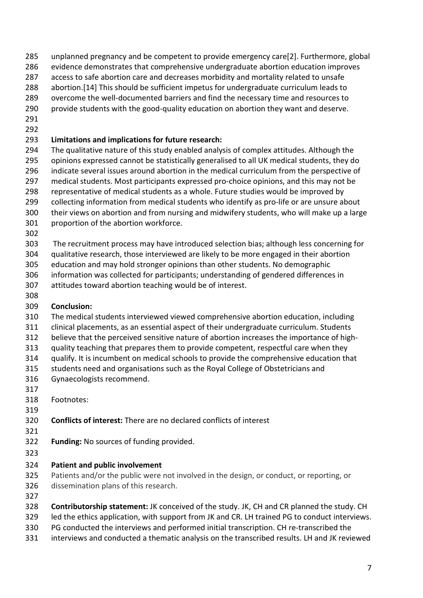- unplanned pregnancy and be competent to provide emergency care[2]. Furthermore, global
- evidence demonstrates that comprehensive undergraduate abortion education improves
- access to safe abortion care and decreases morbidity and mortality related to unsafe
- abortion.[14] This should be sufficient impetus for undergraduate curriculum leads to
- overcome the well-documented barriers and find the necessary time and resources to
- provide students with the good-quality education on abortion they want and deserve.
- 

#### **Limitations and implications for future research:**

- The qualitative nature of this study enabled analysis of complex attitudes. Although the opinions expressed cannot be statistically generalised to all UK medical students, they do indicate several issues around abortion in the medical curriculum from the perspective of medical students. Most participants expressed pro-choice opinions, and this may not be representative of medical students as a whole. Future studies would be improved by 299 collecting information from medical students who identify as pro-life or are unsure about their views on abortion and from nursing and midwifery students, who will make up a large
- proportion of the abortion workforce.
- 
- The recruitment process may have introduced selection bias; although less concerning for
- qualitative research, those interviewed are likely to be more engaged in their abortion
- education and may hold stronger opinions than other students. No demographic
- information was collected for participants; understanding of gendered differences in
- attitudes toward abortion teaching would be of interest.
- **Conclusion:**
- The medical students interviewed viewed comprehensive abortion education, including clinical placements, as an essential aspect of their undergraduate curriculum. Students
- believe that the perceived sensitive nature of abortion increases the importance of high-
- quality teaching that prepares them to provide competent, respectful care when they
- qualify. It is incumbent on medical schools to provide the comprehensive education that
- students need and organisations such as the Royal College of Obstetricians and
- Gynaecologists recommend.
- 
- Footnotes:

# **Conflicts of interest:** There are no declared conflicts of interest

- 
- **Funding:** No sources of funding provided.
- 

# **Patient and public involvement**

- Patients and/or the public were not involved in the design, or conduct, or reporting, or dissemination plans of this research.
- 
- **Contributorship statement:** JK conceived of the study. JK, CH and CR planned the study. CH
- led the ethics application, with support from JK and CR. LH trained PG to conduct interviews.
- PG conducted the interviews and performed initial transcription. CH re-transcribed the
- interviews and conducted a thematic analysis on the transcribed results. LH and JK reviewed